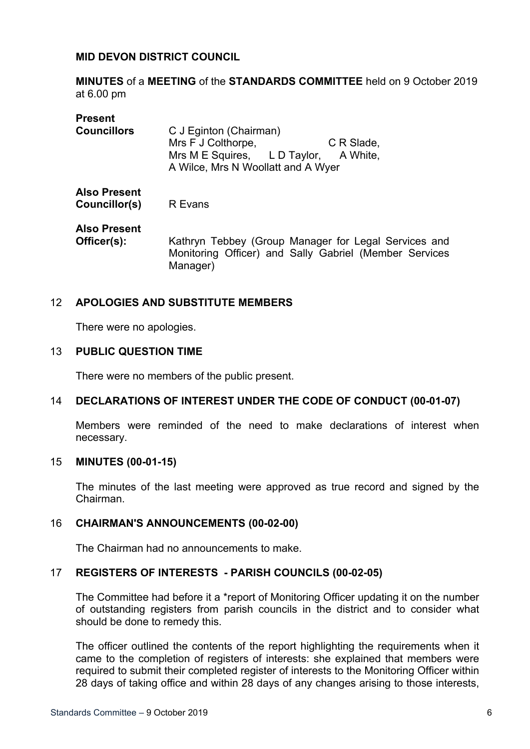## **MID DEVON DISTRICT COUNCIL**

**MINUTES** of a **MEETING** of the **STANDARDS COMMITTEE** held on 9 October 2019 at 6.00 pm

| <b>Present</b><br><b>Councillors</b> | C J Eginton (Chairman)<br>Mrs F J Colthorpe,<br>C R Slade,<br>Mrs M E Squires, L D Taylor, A White,<br>A Wilce, Mrs N Woollatt and A Wyer |
|--------------------------------------|-------------------------------------------------------------------------------------------------------------------------------------------|
| <b>Also Present</b><br>Councillor(s) | R Evans                                                                                                                                   |
| <b>Also Present</b><br>Officer(s):   | Kathryn Tebbey (Group Manager for Legal Services and<br>Monitoring Officer) and Sally Gabriel (Member Services<br>Manager)                |

## 12 **APOLOGIES AND SUBSTITUTE MEMBERS**

There were no apologies.

### 13 **PUBLIC QUESTION TIME**

There were no members of the public present.

### 14 **DECLARATIONS OF INTEREST UNDER THE CODE OF CONDUCT (00-01-07)**

Members were reminded of the need to make declarations of interest when necessary.

#### 15 **MINUTES (00-01-15)**

The minutes of the last meeting were approved as true record and signed by the Chairman.

### 16 **CHAIRMAN'S ANNOUNCEMENTS (00-02-00)**

The Chairman had no announcements to make.

### 17 **REGISTERS OF INTERESTS - PARISH COUNCILS (00-02-05)**

The Committee had before it a \*report of Monitoring Officer updating it on the number of outstanding registers from parish councils in the district and to consider what should be done to remedy this.

The officer outlined the contents of the report highlighting the requirements when it came to the completion of registers of interests: she explained that members were required to submit their completed register of interests to the Monitoring Officer within 28 days of taking office and within 28 days of any changes arising to those interests,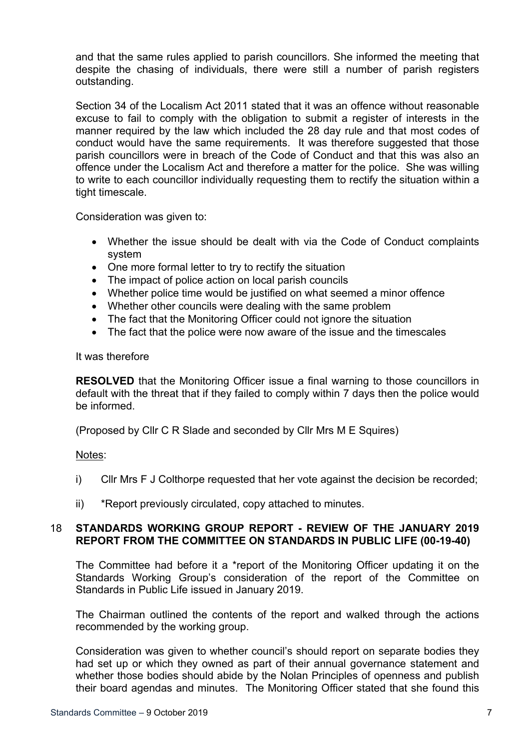and that the same rules applied to parish councillors. She informed the meeting that despite the chasing of individuals, there were still a number of parish registers outstanding.

Section 34 of the Localism Act 2011 stated that it was an offence without reasonable excuse to fail to comply with the obligation to submit a register of interests in the manner required by the law which included the 28 day rule and that most codes of conduct would have the same requirements. It was therefore suggested that those parish councillors were in breach of the Code of Conduct and that this was also an offence under the Localism Act and therefore a matter for the police. She was willing to write to each councillor individually requesting them to rectify the situation within a tight timescale.

Consideration was given to:

- Whether the issue should be dealt with via the Code of Conduct complaints system
- One more formal letter to try to rectify the situation
- The impact of police action on local parish councils
- Whether police time would be justified on what seemed a minor offence
- Whether other councils were dealing with the same problem
- The fact that the Monitoring Officer could not ignore the situation
- The fact that the police were now aware of the issue and the timescales

It was therefore

**RESOLVED** that the Monitoring Officer issue a final warning to those councillors in default with the threat that if they failed to comply within 7 days then the police would be informed.

(Proposed by Cllr C R Slade and seconded by Cllr Mrs M E Squires)

Notes:

- i) Cllr Mrs F J Colthorpe requested that her vote against the decision be recorded;
- ii) \*Report previously circulated, copy attached to minutes.

## 18 **STANDARDS WORKING GROUP REPORT - REVIEW OF THE JANUARY 2019 REPORT FROM THE COMMITTEE ON STANDARDS IN PUBLIC LIFE (00-19-40)**

The Committee had before it a \*report of the Monitoring Officer updating it on the Standards Working Group's consideration of the report of the Committee on Standards in Public Life issued in January 2019.

The Chairman outlined the contents of the report and walked through the actions recommended by the working group.

Consideration was given to whether council's should report on separate bodies they had set up or which they owned as part of their annual governance statement and whether those bodies should abide by the Nolan Principles of openness and publish their board agendas and minutes. The Monitoring Officer stated that she found this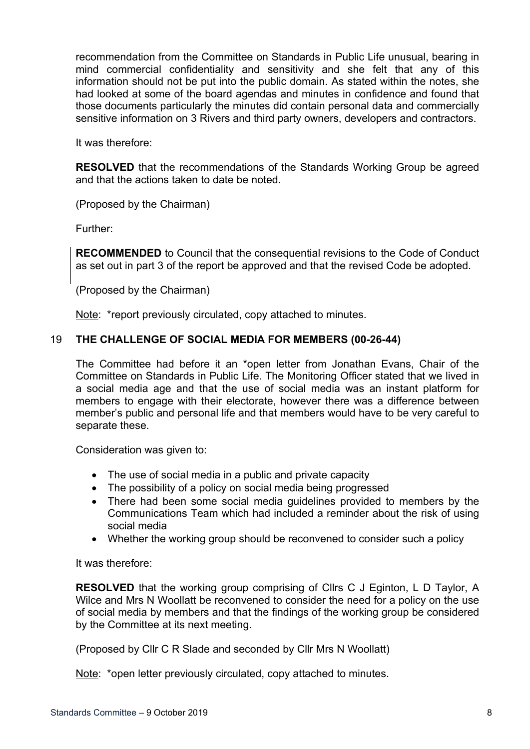recommendation from the Committee on Standards in Public Life unusual, bearing in mind commercial confidentiality and sensitivity and she felt that any of this information should not be put into the public domain. As stated within the notes, she had looked at some of the board agendas and minutes in confidence and found that those documents particularly the minutes did contain personal data and commercially sensitive information on 3 Rivers and third party owners, developers and contractors.

It was therefore:

**RESOLVED** that the recommendations of the Standards Working Group be agreed and that the actions taken to date be noted.

(Proposed by the Chairman)

Further:

**RECOMMENDED** to Council that the consequential revisions to the Code of Conduct as set out in part 3 of the report be approved and that the revised Code be adopted.

(Proposed by the Chairman)

Note: \*report previously circulated, copy attached to minutes.

# 19 **THE CHALLENGE OF SOCIAL MEDIA FOR MEMBERS (00-26-44)**

The Committee had before it an \*open letter from Jonathan Evans, Chair of the Committee on Standards in Public Life. The Monitoring Officer stated that we lived in a social media age and that the use of social media was an instant platform for members to engage with their electorate, however there was a difference between member's public and personal life and that members would have to be very careful to separate these.

Consideration was given to:

- The use of social media in a public and private capacity
- The possibility of a policy on social media being progressed
- There had been some social media guidelines provided to members by the Communications Team which had included a reminder about the risk of using social media
- Whether the working group should be reconvened to consider such a policy

It was therefore:

**RESOLVED** that the working group comprising of Cllrs C J Eginton, L D Taylor, A Wilce and Mrs N Woollatt be reconvened to consider the need for a policy on the use of social media by members and that the findings of the working group be considered by the Committee at its next meeting.

(Proposed by Cllr C R Slade and seconded by Cllr Mrs N Woollatt)

Note: \*open letter previously circulated, copy attached to minutes.